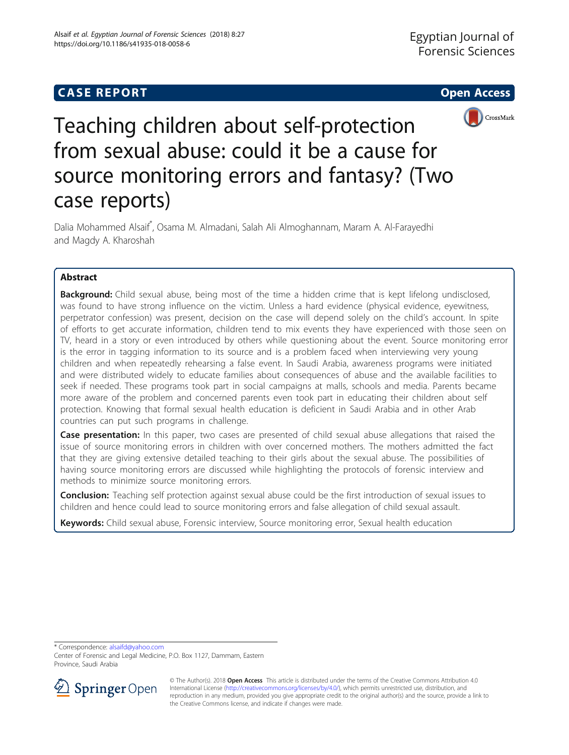# **CASE REPORT CASE REPORT CASE REPORT**



# Teaching children about self-protection from sexual abuse: could it be a cause for source monitoring errors and fantasy? (Two case reports)

Dalia Mohammed Alsaif\* , Osama M. Almadani, Salah Ali Almoghannam, Maram A. Al-Farayedhi and Magdy A. Kharoshah

# Abstract

**Background:** Child sexual abuse, being most of the time a hidden crime that is kept lifelong undisclosed, was found to have strong influence on the victim. Unless a hard evidence (physical evidence, eyewitness, perpetrator confession) was present, decision on the case will depend solely on the child's account. In spite of efforts to get accurate information, children tend to mix events they have experienced with those seen on TV, heard in a story or even introduced by others while questioning about the event. Source monitoring error is the error in tagging information to its source and is a problem faced when interviewing very young children and when repeatedly rehearsing a false event. In Saudi Arabia, awareness programs were initiated and were distributed widely to educate families about consequences of abuse and the available facilities to seek if needed. These programs took part in social campaigns at malls, schools and media. Parents became more aware of the problem and concerned parents even took part in educating their children about self protection. Knowing that formal sexual health education is deficient in Saudi Arabia and in other Arab countries can put such programs in challenge.

**Case presentation:** In this paper, two cases are presented of child sexual abuse allegations that raised the issue of source monitoring errors in children with over concerned mothers. The mothers admitted the fact that they are giving extensive detailed teaching to their girls about the sexual abuse. The possibilities of having source monitoring errors are discussed while highlighting the protocols of forensic interview and methods to minimize source monitoring errors.

**Conclusion:** Teaching self protection against sexual abuse could be the first introduction of sexual issues to children and hence could lead to source monitoring errors and false allegation of child sexual assault.

Keywords: Child sexual abuse, Forensic interview, Source monitoring error, Sexual health education

\* Correspondence: [alsaifd@yahoo.com](mailto:alsaifd@yahoo.com)

Center of Forensic and Legal Medicine, P.O. Box 1127, Dammam, Eastern Province, Saudi Arabia



<sup>©</sup> The Author(s). 2018 Open Access This article is distributed under the terms of the Creative Commons Attribution 4.0 International License ([http://creativecommons.org/licenses/by/4.0/\)](http://creativecommons.org/licenses/by/4.0/), which permits unrestricted use, distribution, and reproduction in any medium, provided you give appropriate credit to the original author(s) and the source, provide a link to the Creative Commons license, and indicate if changes were made.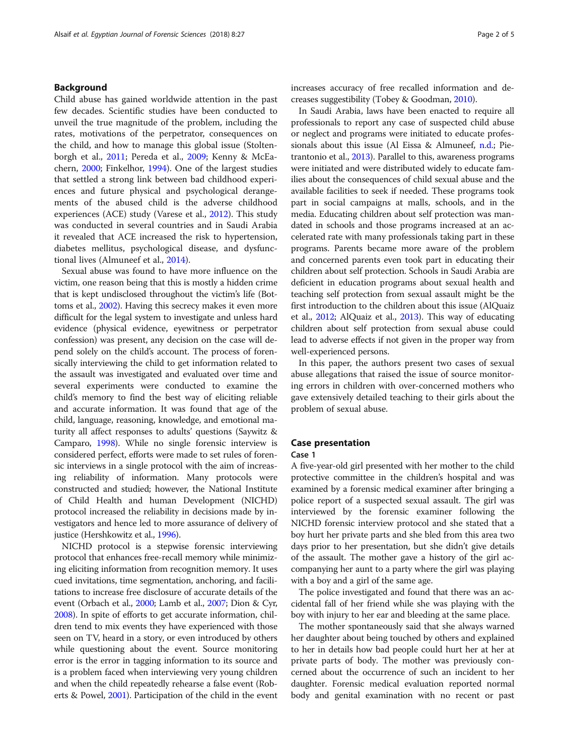# Background

Child abuse has gained worldwide attention in the past few decades. Scientific studies have been conducted to unveil the true magnitude of the problem, including the rates, motivations of the perpetrator, consequences on the child, and how to manage this global issue (Stoltenborgh et al., [2011](#page-4-0); Pereda et al., [2009;](#page-3-0) Kenny & McEachern, [2000](#page-3-0); Finkelhor, [1994](#page-3-0)). One of the largest studies that settled a strong link between bad childhood experiences and future physical and psychological derangements of the abused child is the adverse childhood experiences (ACE) study (Varese et al., [2012\)](#page-4-0). This study was conducted in several countries and in Saudi Arabia it revealed that ACE increased the risk to hypertension, diabetes mellitus, psychological disease, and dysfunctional lives (Almuneef et al., [2014](#page-3-0)).

Sexual abuse was found to have more influence on the victim, one reason being that this is mostly a hidden crime that is kept undisclosed throughout the victim's life (Bottoms et al., [2002\)](#page-3-0). Having this secrecy makes it even more difficult for the legal system to investigate and unless hard evidence (physical evidence, eyewitness or perpetrator confession) was present, any decision on the case will depend solely on the child's account. The process of forensically interviewing the child to get information related to the assault was investigated and evaluated over time and several experiments were conducted to examine the child's memory to find the best way of eliciting reliable and accurate information. It was found that age of the child, language, reasoning, knowledge, and emotional maturity all affect responses to adults' questions (Saywitz & Camparo, [1998](#page-4-0)). While no single forensic interview is considered perfect, efforts were made to set rules of forensic interviews in a single protocol with the aim of increasing reliability of information. Many protocols were constructed and studied; however, the National Institute of Child Health and human Development (NICHD) protocol increased the reliability in decisions made by investigators and hence led to more assurance of delivery of justice (Hershkowitz et al., [1996](#page-3-0)).

NICHD protocol is a stepwise forensic interviewing protocol that enhances free-recall memory while minimizing eliciting information from recognition memory. It uses cued invitations, time segmentation, anchoring, and facilitations to increase free disclosure of accurate details of the event (Orbach et al., [2000](#page-3-0); Lamb et al., [2007](#page-3-0); Dion & Cyr, [2008\)](#page-3-0). In spite of efforts to get accurate information, children tend to mix events they have experienced with those seen on TV, heard in a story, or even introduced by others while questioning about the event. Source monitoring error is the error in tagging information to its source and is a problem faced when interviewing very young children and when the child repeatedly rehearse a false event (Roberts & Powel, [2001](#page-3-0)). Participation of the child in the event increases accuracy of free recalled information and decreases suggestibility (Tobey & Goodman, [2010\)](#page-4-0).

In Saudi Arabia, laws have been enacted to require all professionals to report any case of suspected child abuse or neglect and programs were initiated to educate professionals about this issue (Al Eissa & Almuneef, [n.d.;](#page-3-0) Pietrantonio et al., [2013](#page-3-0)). Parallel to this, awareness programs were initiated and were distributed widely to educate families about the consequences of child sexual abuse and the available facilities to seek if needed. These programs took part in social campaigns at malls, schools, and in the media. Educating children about self protection was mandated in schools and those programs increased at an accelerated rate with many professionals taking part in these programs. Parents became more aware of the problem and concerned parents even took part in educating their children about self protection. Schools in Saudi Arabia are deficient in education programs about sexual health and teaching self protection from sexual assault might be the first introduction to the children about this issue (AlQuaiz et al., [2012](#page-3-0); AlQuaiz et al., [2013](#page-3-0)). This way of educating children about self protection from sexual abuse could lead to adverse effects if not given in the proper way from well-experienced persons.

In this paper, the authors present two cases of sexual abuse allegations that raised the issue of source monitoring errors in children with over-concerned mothers who gave extensively detailed teaching to their girls about the problem of sexual abuse.

## Case presentation

#### Case 1

A five-year-old girl presented with her mother to the child protective committee in the children's hospital and was examined by a forensic medical examiner after bringing a police report of a suspected sexual assault. The girl was interviewed by the forensic examiner following the NICHD forensic interview protocol and she stated that a boy hurt her private parts and she bled from this area two days prior to her presentation, but she didn't give details of the assault. The mother gave a history of the girl accompanying her aunt to a party where the girl was playing with a boy and a girl of the same age.

The police investigated and found that there was an accidental fall of her friend while she was playing with the boy with injury to her ear and bleeding at the same place.

The mother spontaneously said that she always warned her daughter about being touched by others and explained to her in details how bad people could hurt her at her at private parts of body. The mother was previously concerned about the occurrence of such an incident to her daughter. Forensic medical evaluation reported normal body and genital examination with no recent or past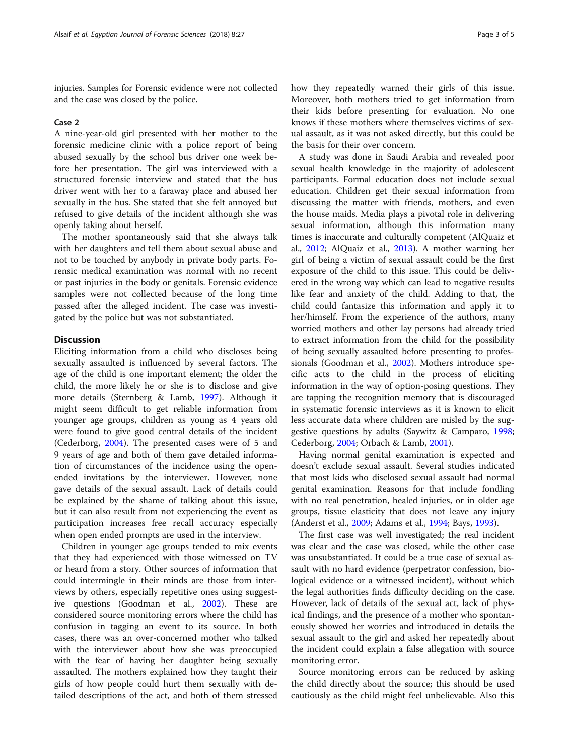injuries. Samples for Forensic evidence were not collected and the case was closed by the police.

#### Case 2

A nine-year-old girl presented with her mother to the forensic medicine clinic with a police report of being abused sexually by the school bus driver one week before her presentation. The girl was interviewed with a structured forensic interview and stated that the bus driver went with her to a faraway place and abused her sexually in the bus. She stated that she felt annoyed but refused to give details of the incident although she was openly taking about herself.

The mother spontaneously said that she always talk with her daughters and tell them about sexual abuse and not to be touched by anybody in private body parts. Forensic medical examination was normal with no recent or past injuries in the body or genitals. Forensic evidence samples were not collected because of the long time passed after the alleged incident. The case was investigated by the police but was not substantiated.

## **Discussion**

Eliciting information from a child who discloses being sexually assaulted is influenced by several factors. The age of the child is one important element; the older the child, the more likely he or she is to disclose and give more details (Sternberg & Lamb, [1997](#page-4-0)). Although it might seem difficult to get reliable information from younger age groups, children as young as 4 years old were found to give good central details of the incident (Cederborg, [2004](#page-3-0)). The presented cases were of 5 and 9 years of age and both of them gave detailed information of circumstances of the incidence using the openended invitations by the interviewer. However, none gave details of the sexual assault. Lack of details could be explained by the shame of talking about this issue, but it can also result from not experiencing the event as participation increases free recall accuracy especially when open ended prompts are used in the interview.

Children in younger age groups tended to mix events that they had experienced with those witnessed on TV or heard from a story. Other sources of information that could intermingle in their minds are those from interviews by others, especially repetitive ones using suggestive questions (Goodman et al., [2002](#page-3-0)). These are considered source monitoring errors where the child has confusion in tagging an event to its source. In both cases, there was an over-concerned mother who talked with the interviewer about how she was preoccupied with the fear of having her daughter being sexually assaulted. The mothers explained how they taught their girls of how people could hurt them sexually with detailed descriptions of the act, and both of them stressed

how they repeatedly warned their girls of this issue. Moreover, both mothers tried to get information from their kids before presenting for evaluation. No one knows if these mothers where themselves victims of sexual assault, as it was not asked directly, but this could be the basis for their over concern.

A study was done in Saudi Arabia and revealed poor sexual health knowledge in the majority of adolescent participants. Formal education does not include sexual education. Children get their sexual information from discussing the matter with friends, mothers, and even the house maids. Media plays a pivotal role in delivering sexual information, although this information many times is inaccurate and culturally competent (AlQuaiz et al., [2012](#page-3-0); AlQuaiz et al., [2013](#page-3-0)). A mother warning her girl of being a victim of sexual assault could be the first exposure of the child to this issue. This could be delivered in the wrong way which can lead to negative results like fear and anxiety of the child. Adding to that, the child could fantasize this information and apply it to her/himself. From the experience of the authors, many worried mothers and other lay persons had already tried to extract information from the child for the possibility of being sexually assaulted before presenting to professionals (Goodman et al., [2002\)](#page-3-0). Mothers introduce specific acts to the child in the process of eliciting information in the way of option-posing questions. They are tapping the recognition memory that is discouraged in systematic forensic interviews as it is known to elicit less accurate data where children are misled by the suggestive questions by adults (Saywitz & Camparo, [1998](#page-4-0); Cederborg, [2004;](#page-3-0) Orbach & Lamb, [2001](#page-3-0)).

Having normal genital examination is expected and doesn't exclude sexual assault. Several studies indicated that most kids who disclosed sexual assault had normal genital examination. Reasons for that include fondling with no real penetration, healed injuries, or in older age groups, tissue elasticity that does not leave any injury (Anderst et al., [2009;](#page-3-0) Adams et al., [1994;](#page-3-0) Bays, [1993](#page-3-0)).

The first case was well investigated; the real incident was clear and the case was closed, while the other case was unsubstantiated. It could be a true case of sexual assault with no hard evidence (perpetrator confession, biological evidence or a witnessed incident), without which the legal authorities finds difficulty deciding on the case. However, lack of details of the sexual act, lack of physical findings, and the presence of a mother who spontaneously showed her worries and introduced in details the sexual assault to the girl and asked her repeatedly about the incident could explain a false allegation with source monitoring error.

Source monitoring errors can be reduced by asking the child directly about the source; this should be used cautiously as the child might feel unbelievable. Also this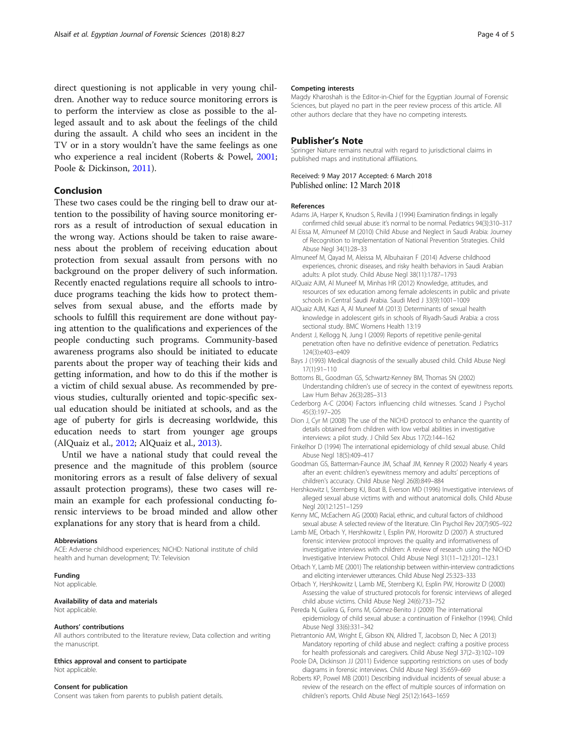<span id="page-3-0"></span>direct questioning is not applicable in very young children. Another way to reduce source monitoring errors is to perform the interview as close as possible to the alleged assault and to ask about the feelings of the child during the assault. A child who sees an incident in the TV or in a story wouldn't have the same feelings as one who experience a real incident (Roberts & Powel, 2001; Poole & Dickinson, 2011).

## Conclusion

These two cases could be the ringing bell to draw our attention to the possibility of having source monitoring errors as a result of introduction of sexual education in the wrong way. Actions should be taken to raise awareness about the problem of receiving education about protection from sexual assault from persons with no background on the proper delivery of such information. Recently enacted regulations require all schools to introduce programs teaching the kids how to protect themselves from sexual abuse, and the efforts made by schools to fulfill this requirement are done without paying attention to the qualifications and experiences of the people conducting such programs. Community-based awareness programs also should be initiated to educate parents about the proper way of teaching their kids and getting information, and how to do this if the mother is a victim of child sexual abuse. As recommended by previous studies, culturally oriented and topic-specific sexual education should be initiated at schools, and as the age of puberty for girls is decreasing worldwide, this education needs to start from younger age groups (AlQuaiz et al., 2012; AlQuaiz et al., 2013).

Until we have a national study that could reveal the presence and the magnitude of this problem (source monitoring errors as a result of false delivery of sexual assault protection programs), these two cases will remain an example for each professional conducting forensic interviews to be broad minded and allow other explanations for any story that is heard from a child.

#### Abbreviations

ACE: Adverse childhood experiences; NICHD: National institute of child health and human development; TV: Television

#### Funding

Not applicable.

#### Availability of data and materials Not applicable.

#### Authors' contributions

All authors contributed to the literature review, Data collection and writing the manuscript.

#### Ethics approval and consent to participate Not applicable.

#### Consent for publication

Consent was taken from parents to publish patient details.

#### Competing interests

Magdy Kharoshah is the Editor-in-Chief for the Egyptian Journal of Forensic Sciences, but played no part in the peer review process of this article. All other authors declare that they have no competing interests.

#### Publisher's Note

Springer Nature remains neutral with regard to jurisdictional claims in published maps and institutional affiliations.

### Received: 9 May 2017 Accepted: 6 March 2018 Published online: 12 March 2018

#### References

- Adams JA, Harper K, Knudson S, Revilla J (1994) Examination findings in legally confirmed child sexual abuse: it's normal to be normal. Pediatrics 94(3):310–317
- Al Eissa M, Almuneef M (2010) Child Abuse and Neglect in Saudi Arabia: Journey of Recognition to Implementation of National Prevention Strategies. Child Abuse Negl 34(1):28–33
- Almuneef M, Qayad M, Aleissa M, Albuhairan F (2014) Adverse childhood experiences, chronic diseases, and risky health behaviors in Saudi Arabian adults: A pilot study. Child Abuse Negl 38(11):1787–1793
- AlQuaiz AJM, Al Muneef M, Minhas HR (2012) Knowledge, attitudes, and resources of sex education among female adolescents in public and private schools in Central Saudi Arabia. Saudi Med J 33(9):1001–1009
- AlQuaiz AJM, Kazi A, Al Muneef M (2013) Determinants of sexual health knowledge in adolescent girls in schools of Riyadh-Saudi Arabia: a cross sectional study. BMC Womens Health 13:19
- Anderst J, Kellogg N, Jung I (2009) Reports of repetitive penile-genital penetration often have no definitive evidence of penetration. Pediatrics 124(3):e403–e409
- Bays J (1993) Medical diagnosis of the sexually abused child. Child Abuse Negl 17(1):91–110
- Bottoms BL, Goodman GS, Schwartz-Kenney BM, Thomas SN (2002) Understanding children's use of secrecy in the context of eyewitness reports. Law Hum Behav 26(3):285–313
- Cederborg A-C (2004) Factors influencing child witnesses. Scand J Psychol 45(3):197–205
- Dion J, Cyr M (2008) The use of the NICHD protocol to enhance the quantity of details obtained from children with low verbal abilities in investigative interviews: a pilot study. J Child Sex Abus 17(2):144–162
- Finkelhor D (1994) The international epidemiology of child sexual abuse. Child Abuse Negl 18(5):409–417
- Goodman GS, Batterman-Faunce JM, Schaaf JM, Kenney R (2002) Nearly 4 years after an event: children's eyewitness memory and adults' perceptions of children's accuracy. Child Abuse Negl 26(8):849–884
- Hershkowitz I, Sternberg KJ, Boat B, Everson MD (1996) Investigative interviews of alleged sexual abuse victims with and without anatomical dolls. Child Abuse Negl 20(12:1251–1259
- Kenny MC, McEachern AG (2000) Racial, ethnic, and cultural factors of childhood sexual abuse: A selected review of the literature. Clin Psychol Rev 20(7):905–922
- Lamb ME, Orbach Y, Hershkowitz I, Esplin PW, Horowitz D (2007) A structured forensic interview protocol improves the quality and informativeness of investigative interviews with children: A review of research using the NICHD Investigative Interview Protocol. Child Abuse Negl 31(11–12):1201–123.1
- Orbach Y, Lamb ME (2001) The relationship between within-interview contradictions and eliciting interviewer utterances. Child Abuse Negl 25:323–333
- Orbach Y, Hershkowitz I, Lamb ME, Sternberg KJ, Esplin PW, Horowitz D (2000) Assessing the value of structured protocols for forensic interviews of alleged child abuse victims. Child Abuse Negl 24(6):733–752
- Pereda N, Guilera G, Forns M, Gómez-Benito J (2009) The international epidemiology of child sexual abuse: a continuation of Finkelhor (1994). Child Abuse Negl 33(6):331–342
- Pietrantonio AM, Wright E, Gibson KN, Alldred T, Jacobson D, Niec A (2013) Mandatory reporting of child abuse and neglect: crafting a positive process for health professionals and caregivers. Child Abuse Negl 37(2–3):102–109
- Poole DA, Dickinson JJ (2011) Evidence supporting restrictions on uses of body diagrams in forensic interviews. Child Abuse Negl 35:659–669
- Roberts KP, Powel MB (2001) Describing individual incidents of sexual abuse: a review of the research on the effect of multiple sources of information on children's reports. Child Abuse Negl 25(12):1643–1659